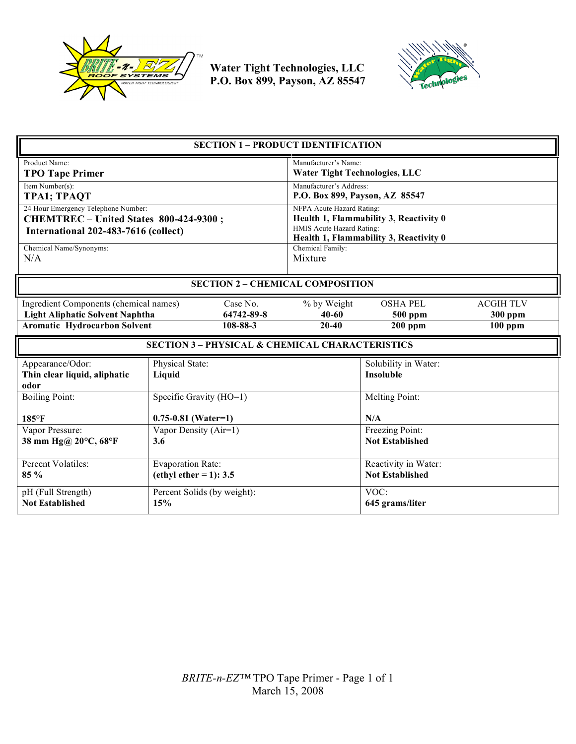



| <b>SECTION 1 - PRODUCT IDENTIFICATION</b>                                                                                                                     |                                                      |                                                                                                                                                                |                                                |                                                 |  |
|---------------------------------------------------------------------------------------------------------------------------------------------------------------|------------------------------------------------------|----------------------------------------------------------------------------------------------------------------------------------------------------------------|------------------------------------------------|-------------------------------------------------|--|
| Product Name:<br><b>TPO Tape Primer</b>                                                                                                                       |                                                      | Manufacturer's Name:<br><b>Water Tight Technologies, LLC</b>                                                                                                   |                                                |                                                 |  |
| Item Number(s):<br><b>TPA1; TPAQT</b>                                                                                                                         |                                                      | Manufacturer's Address:<br>P.O. Box 899, Payson, AZ 85547                                                                                                      |                                                |                                                 |  |
| 24 Hour Emergency Telephone Number:<br>CHEMTREC - United States 800-424-9300;<br>International 202-483-7616 (collect)<br>Chemical Name/Synonyms:              |                                                      | NFPA Acute Hazard Rating:<br>Health 1, Flammability 3, Reactivity 0<br>HMIS Acute Hazard Rating:<br>Health 1, Flammability 3, Reactivity 0<br>Chemical Family: |                                                |                                                 |  |
| N/A                                                                                                                                                           |                                                      | Mixture                                                                                                                                                        |                                                |                                                 |  |
| <b>SECTION 2 - CHEMICAL COMPOSITION</b>                                                                                                                       |                                                      |                                                                                                                                                                |                                                |                                                 |  |
| Case No.<br>Ingredient Components (chemical names)<br><b>Light Aliphatic Solvent Naphtha</b><br>64742-89-8<br><b>Aromatic Hydrocarbon Solvent</b><br>108-88-3 |                                                      | % by Weight<br>$40 - 60$<br>$20 - 40$                                                                                                                          | <b>OSHA PEL</b><br>500 ppm<br>$200$ ppm        | <b>ACGIH TLV</b><br><b>300 ppm</b><br>$100$ ppm |  |
| <b>SECTION 3 - PHYSICAL &amp; CHEMICAL CHARACTERISTICS</b>                                                                                                    |                                                      |                                                                                                                                                                |                                                |                                                 |  |
| Appearance/Odor:<br>Thin clear liquid, aliphatic<br>odor                                                                                                      | Physical State:<br>Liquid                            |                                                                                                                                                                |                                                | Solubility in Water:<br><b>Insoluble</b>        |  |
| <b>Boiling Point:</b>                                                                                                                                         | Specific Gravity (HO=1)                              |                                                                                                                                                                | Melting Point:                                 |                                                 |  |
| $185^{\circ}$ F                                                                                                                                               | $0.75 - 0.81$ (Water=1)                              |                                                                                                                                                                |                                                | N/A                                             |  |
| Vapor Pressure:<br>38 mm Hg@ 20°C, 68°F                                                                                                                       | Vapor Density (Air=1)<br>3.6                         |                                                                                                                                                                | Freezing Point:<br><b>Not Established</b>      |                                                 |  |
| Percent Volatiles:<br>85 %                                                                                                                                    | <b>Evaporation Rate:</b><br>(ethyl ether = 1): $3.5$ |                                                                                                                                                                | Reactivity in Water:<br><b>Not Established</b> |                                                 |  |
| pH (Full Strength)<br><b>Not Established</b>                                                                                                                  | Percent Solids (by weight):<br>15%                   |                                                                                                                                                                | VOC:<br>645 grams/liter                        |                                                 |  |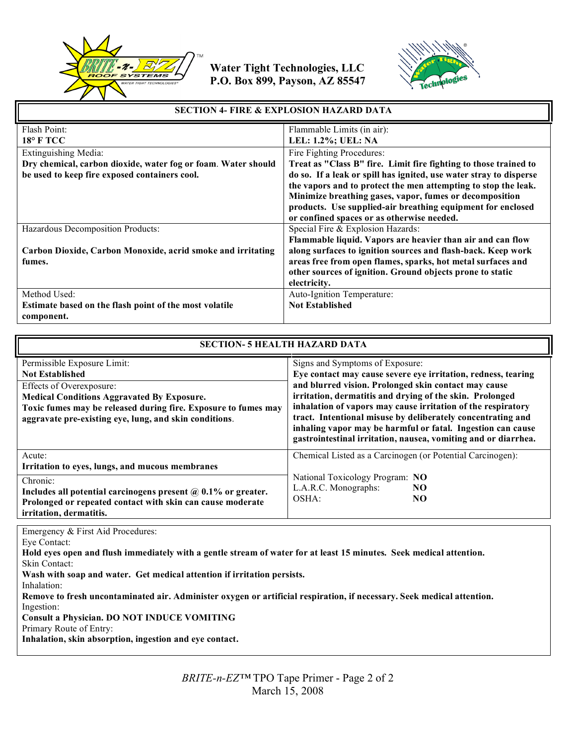



| <b>SECTION 4- FIRE &amp; EXPLOSION HAZARD DATA</b>            |                                                                    |  |
|---------------------------------------------------------------|--------------------------------------------------------------------|--|
| Flash Point:                                                  | Flammable Limits (in air):                                         |  |
| <b>18° F TCC</b>                                              | <b>LEL: 1.2%; UEL: NA</b>                                          |  |
| Extinguishing Media:                                          | Fire Fighting Procedures:                                          |  |
| Dry chemical, carbon dioxide, water fog or foam. Water should | Treat as "Class B" fire. Limit fire fighting to those trained to   |  |
| be used to keep fire exposed containers cool.                 | do so. If a leak or spill has ignited, use water stray to disperse |  |
|                                                               | the vapors and to protect the men attempting to stop the leak.     |  |
|                                                               | Minimize breathing gases, vapor, fumes or decomposition            |  |
|                                                               | products. Use supplied-air breathing equipment for enclosed        |  |
|                                                               | or confined spaces or as otherwise needed.                         |  |
| Hazardous Decomposition Products:                             | Special Fire & Explosion Hazards:                                  |  |
|                                                               | Flammable liquid. Vapors are heavier than air and can flow         |  |
| Carbon Dioxide, Carbon Monoxide, acrid smoke and irritating   | along surfaces to ignition sources and flash-back. Keep work       |  |
| fumes.                                                        | areas free from open flames, sparks, hot metal surfaces and        |  |
|                                                               | other sources of ignition. Ground objects prone to static          |  |
|                                                               | electricity.                                                       |  |
| Method Used:                                                  | Auto-Ignition Temperature:                                         |  |
| Estimate based on the flash point of the most volatile        | <b>Not Established</b>                                             |  |
| component.                                                    |                                                                    |  |

| <b>SECTION- 5 HEALTH HAZARD DATA</b>                                                                                                                                                                                                                               |                                                                                                                                                                                                                                                                                                                                                                                                                                                                                      |  |  |  |
|--------------------------------------------------------------------------------------------------------------------------------------------------------------------------------------------------------------------------------------------------------------------|--------------------------------------------------------------------------------------------------------------------------------------------------------------------------------------------------------------------------------------------------------------------------------------------------------------------------------------------------------------------------------------------------------------------------------------------------------------------------------------|--|--|--|
| Permissible Exposure Limit:<br><b>Not Established</b><br>Effects of Overexposure:<br><b>Medical Conditions Aggravated By Exposure.</b><br>Toxic fumes may be released during fire. Exposure to fumes may<br>aggravate pre-existing eye, lung, and skin conditions. | Signs and Symptoms of Exposure:<br>Eye contact may cause severe eye irritation, redness, tearing<br>and blurred vision. Prolonged skin contact may cause<br>irritation, dermatitis and drying of the skin. Prolonged<br>inhalation of vapors may cause irritation of the respiratory<br>tract. Intentional misuse by deliberately concentrating and<br>inhaling vapor may be harmful or fatal. Ingestion can cause<br>gastrointestinal irritation, nausea, vomiting and or diarrhea. |  |  |  |
| Acute:<br>Irritation to eyes, lungs, and mucous membranes<br>Chronic:<br>Includes all potential carcinogens present $\omega$ 0.1% or greater.<br>Prolonged or repeated contact with skin can cause moderate<br>irritation, dermatitis.                             | Chemical Listed as a Carcinogen (or Potential Carcinogen):<br>National Toxicology Program: NO<br>L.A.R.C. Monographs:<br>NO.<br>OSHA:<br>NO.                                                                                                                                                                                                                                                                                                                                         |  |  |  |

Emergency & First Aid Procedures:

Eye Contact:

Inhalation:

**Hold eyes open and flush immediately with a gentle stream of water for at least 15 minutes. Seek medical attention.** Skin Contact:

**Wash with soap and water. Get medical attention if irritation persists.**

**Remove to fresh uncontaminated air. Administer oxygen or artificial respiration, if necessary. Seek medical attention.** Ingestion:

**Consult a Physician. DO NOT INDUCE VOMITING**

Primary Route of Entry:

**Inhalation, skin absorption, ingestion and eye contact.**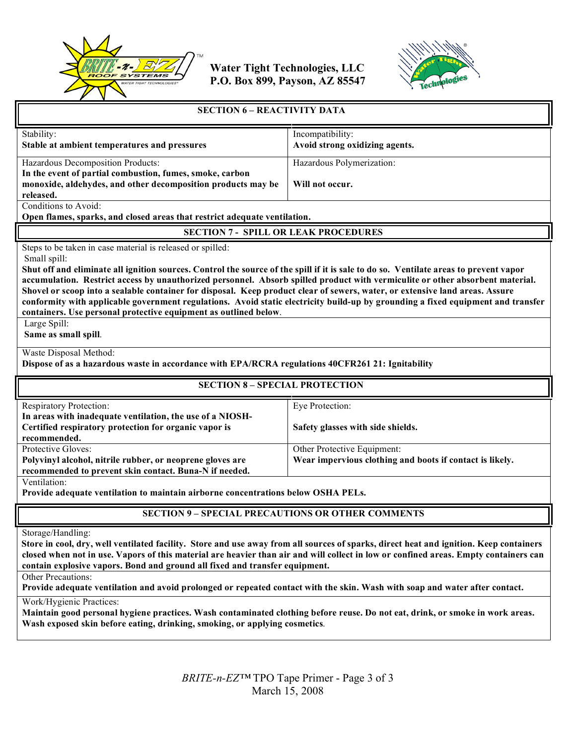



| <b>SECTION 6 - REACTIVITY DATA</b>                                                                                                                                                                                                                                                                                                                                                                                                                                                                                                                                                                                                                                                                                                   |                                                                                         |  |  |  |
|--------------------------------------------------------------------------------------------------------------------------------------------------------------------------------------------------------------------------------------------------------------------------------------------------------------------------------------------------------------------------------------------------------------------------------------------------------------------------------------------------------------------------------------------------------------------------------------------------------------------------------------------------------------------------------------------------------------------------------------|-----------------------------------------------------------------------------------------|--|--|--|
| Stability:<br>Stable at ambient temperatures and pressures                                                                                                                                                                                                                                                                                                                                                                                                                                                                                                                                                                                                                                                                           | Incompatibility:<br>Avoid strong oxidizing agents.                                      |  |  |  |
| Hazardous Decomposition Products:<br>In the event of partial combustion, fumes, smoke, carbon<br>monoxide, aldehydes, and other decomposition products may be<br>released.                                                                                                                                                                                                                                                                                                                                                                                                                                                                                                                                                           | Hazardous Polymerization:<br>Will not occur.                                            |  |  |  |
| Conditions to Avoid:<br>Open flames, sparks, and closed areas that restrict adequate ventilation.                                                                                                                                                                                                                                                                                                                                                                                                                                                                                                                                                                                                                                    |                                                                                         |  |  |  |
| <b>SECTION 7 - SPILL OR LEAK PROCEDURES</b>                                                                                                                                                                                                                                                                                                                                                                                                                                                                                                                                                                                                                                                                                          |                                                                                         |  |  |  |
| Steps to be taken in case material is released or spilled:<br>Small spill:<br>Shut off and eliminate all ignition sources. Control the source of the spill if it is sale to do so. Ventilate areas to prevent vapor<br>accumulation. Restrict access by unauthorized personnel. Absorb spilled product with vermiculite or other absorbent material.<br>Shovel or scoop into a sealable container for disposal. Keep product clear of sewers, water, or extensive land areas. Assure<br>conformity with applicable government regulations. Avoid static electricity build-up by grounding a fixed equipment and transfer<br>containers. Use personal protective equipment as outlined below.<br>Large Spill:<br>Same as small spill. |                                                                                         |  |  |  |
| Waste Disposal Method:<br>Dispose of as a hazardous waste in accordance with EPA/RCRA regulations 40CFR261 21: Ignitability                                                                                                                                                                                                                                                                                                                                                                                                                                                                                                                                                                                                          |                                                                                         |  |  |  |
| <b>SECTION 8 - SPECIAL PROTECTION</b>                                                                                                                                                                                                                                                                                                                                                                                                                                                                                                                                                                                                                                                                                                |                                                                                         |  |  |  |
| <b>Respiratory Protection:</b><br>In areas with inadequate ventilation, the use of a NIOSH-<br>Certified respiratory protection for organic vapor is<br>recommended.                                                                                                                                                                                                                                                                                                                                                                                                                                                                                                                                                                 | Eye Protection:<br>Safety glasses with side shields.                                    |  |  |  |
| Protective Gloves:<br>Polyvinyl alcohol, nitrile rubber, or neoprene gloves are<br>recommended to prevent skin contact. Buna-N if needed.                                                                                                                                                                                                                                                                                                                                                                                                                                                                                                                                                                                            | Other Protective Equipment:<br>Wear impervious clothing and boots if contact is likely. |  |  |  |
| Ventilation:<br>Provide adequate ventilation to maintain airborne concentrations below OSHA PELs.                                                                                                                                                                                                                                                                                                                                                                                                                                                                                                                                                                                                                                    |                                                                                         |  |  |  |
| <b>SECTION 9 - SPECIAL PRECAUTIONS OR OTHER COMMENTS</b>                                                                                                                                                                                                                                                                                                                                                                                                                                                                                                                                                                                                                                                                             |                                                                                         |  |  |  |
| Storage/Handling:<br>Store in cool, dry, well ventilated facility. Store and use away from all sources of sparks, direct heat and ignition. Keep containers<br>closed when not in use. Vapors of this material are heavier than air and will collect in low or confined areas. Empty containers can<br>contain explosive vapors. Bond and ground all fixed and transfer equipment.<br>Other Precautions:<br>Provide adequate ventilation and avoid prolonged or repeated contact with the skin. Wash with soap and water after contact.<br>Work/Hygienic Practices:                                                                                                                                                                  |                                                                                         |  |  |  |

**Maintain good personal hygiene practices. Wash contaminated clothing before reuse. Do not eat, drink, or smoke in work areas. Wash exposed skin before eating, drinking, smoking, or applying cosmetics**.